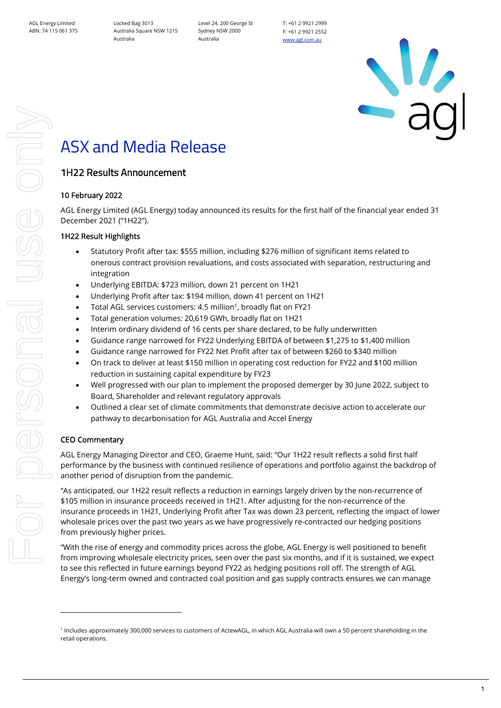Locked Bag 3013 Australia Square NSW 1215 Australia

Level 24, 200 George St Sydney NSW 2000 Australia

T: +61 2 9921 2999 F: +61 2 9921 2552 [www.agl.com.au](https://www.agl.com.au/about-agl)



# ASX and Media Release

## 1H22 Results Announcement

## 10 February 2022

AGL Energy Limited (AGL Energy) today announced its results for the first half of the financial year ended 31 December 2021 ("1H22").

## 1H22 Result Highlights

- Statutory Profit after tax: \$555 million, including \$276 million of significant items related to onerous contract provision revaluations, and costs associated with separation, restructuring and integration
- Underlying EBITDA: \$723 million, down 21 percent on 1H21
- Underlying Profit after tax: \$194 million, down 41 percent on 1H21
- Total AGL services customers: 4.5 million<sup>1</sup>, broadly flat on FY21
- Total generation volumes: 20,619 GWh, broadly flat on 1H21
- Interim ordinary dividend of 16 cents per share declared, to be fully underwritten
- Guidance range narrowed for FY22 Underlying EBITDA of between \$1,275 to \$1,400 million
- Guidance range narrowed for FY22 Net Profit after tax of between \$260 to \$340 million
- On track to deliver at least \$150 million in operating cost reduction for FY22 and \$100 million reduction in sustaining capital expenditure by FY23
- Well progressed with our plan to implement the proposed demerger by 30 June 2022, subject to Board, Shareholder and relevant regulatory approvals
- Outlined a clear set of climate commitments that demonstrate decisive action to accelerate our pathway to decarbonisation for AGL Australia and Accel Energy

## CEO Commentary

AGL Energy Managing Director and CEO, Graeme Hunt, said: "Our 1H22 result reflects a solid first half performance by the business with continued resilience of operations and portfolio against the backdrop of another period of disruption from the pandemic.

"As anticipated, our 1H22 result reflects a reduction in earnings largely driven by the non-recurrence of \$105 million in insurance proceeds received in 1H21. After adjusting for the non-recurrence of the insurance proceeds in 1H21, Underlying Profit after Tax was down 23 percent, reflecting the impact of lower wholesale prices over the past two years as we have progressively re-contracted our hedging positions from previously higher prices.

"With the rise of energy and commodity prices across the globe, AGL Energy is well positioned to benefit from improving wholesale electricity prices, seen over the past six months, and if it is sustained, we expect to see this reflected in future earnings beyond FY22 as hedging positions roll off. The strength of AGL Energy's long-term owned and contracted coal position and gas supply contracts ensures we can manage

<sup>1</sup> Includes approximately 300,000 services to customers of ActewAGL, in which AGL Australia will own a 50 percent shareholding in the retail operations.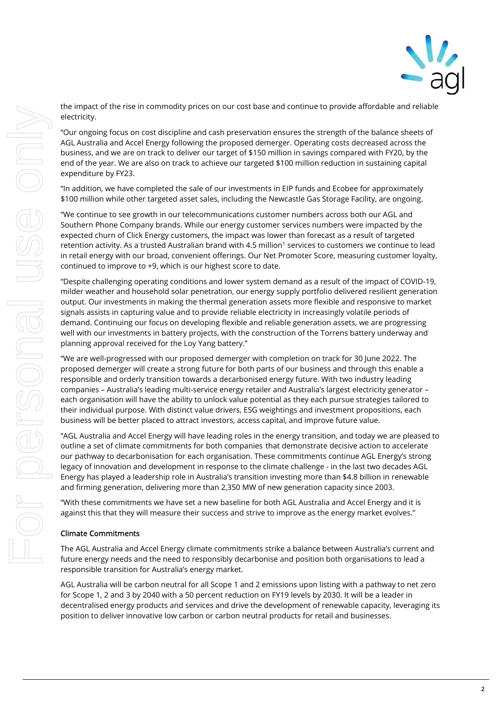For personal use only electricity. For personal use onn

the impact of the rise in commodity prices on our cost base and continue to provide affordable and reliable

"Our ongoing focus on cost discipline and cash preservation ensures the strength of the balance sheets of AGL Australia and Accel Energy following the proposed demerger. Operating costs decreased across the business, and we are on track to deliver our target of \$150 million in savings compared with FY20, by the end of the year. We are also on track to achieve our targeted \$100 million reduction in sustaining capital expenditure by FY23.

"In addition, we have completed the sale of our investments in EIP funds and Ecobee for approximately \$100 million while other targeted asset sales, including the Newcastle Gas Storage Facility, are ongoing.

"We continue to see growth in our telecommunications customer numbers across both our AGL and Southern Phone Company brands. While our energy customer services numbers were impacted by the expected churn of Click Energy customers, the impact was lower than forecast as a result of targeted retention activity. As a trusted Australian brand with 4.5 million<sup>1</sup> services to customers we continue to lead in retail energy with our broad, convenient offerings. Our Net Promoter Score, measuring customer loyalty, continued to improve to +9, which is our highest score to date.

"Despite challenging operating conditions and lower system demand as a result of the impact of COVID-19, milder weather and household solar penetration, our energy supply portfolio delivered resilient generation output. Our investments in making the thermal generation assets more flexible and responsive to market signals assists in capturing value and to provide reliable electricity in increasingly volatile periods of demand. Continuing our focus on developing flexible and reliable generation assets, we are progressing well with our investments in battery projects, with the construction of the Torrens battery underway and planning approval received for the Loy Yang battery."

"We are well-progressed with our proposed demerger with completion on track for 30 June 2022. The proposed demerger will create a strong future for both parts of our business and through this enable a responsible and orderly transition towards a decarbonised energy future. With two industry leading companies – Australia's leading multi-service energy retailer and Australia's largest electricity generator – each organisation will have the ability to unlock value potential as they each pursue strategies tailored to their individual purpose. With distinct value drivers, ESG weightings and investment propositions, each business will be better placed to attract investors, access capital, and improve future value.

"AGL Australia and Accel Energy will have leading roles in the energy transition, and today we are pleased to outline a set of climate commitments for both companies that demonstrate decisive action to accelerate our pathway to decarbonisation for each organisation. These commitments continue AGL Energy's strong legacy of innovation and development in response to the climate challenge - in the last two decades AGL Energy has played a leadership role in Australia's transition investing more than \$4.8 billion in renewable and firming generation, delivering more than 2,350 MW of new generation capacity since 2003.

"With these commitments we have set a new baseline for both AGL Australia and Accel Energy and it is against this that they will measure their success and strive to improve as the energy market evolves."

## Climate Commitments

The AGL Australia and Accel Energy climate commitments strike a balance between Australia's current and future energy needs and the need to responsibly decarbonise and position both organisations to lead a responsible transition for Australia's energy market.

AGL Australia will be carbon neutral for all Scope 1 and 2 emissions upon listing with a pathway to net zero for Scope 1, 2 and 3 by 2040 with a 50 percent reduction on FY19 levels by 2030. It will be a leader in decentralised energy products and services and drive the development of renewable capacity, leveraging its position to deliver innovative low carbon or carbon neutral products for retail and businesses.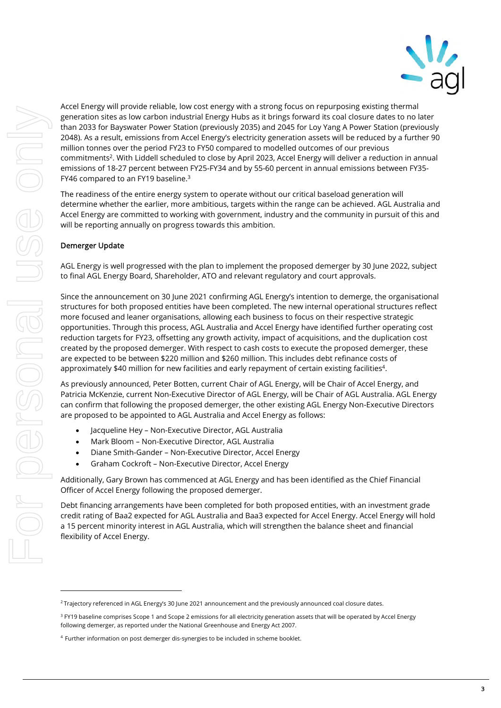

Accel Energy will provide reliable, low cost energy with a strong focus on repurposing existing thermal generation sites as low carbon industrial Energy Hubs as it brings forward its coal closure dates to no later than 2033 for Bayswater Power Station (previously 2035) and 2045 for Loy Yang A Power Station (previously 2048). As a result, emissions from Accel Energy's electricity generation assets will be reduced by a further 90 million tonnes over the period FY23 to FY50 compared to modelled outcomes of our previous commitments<sup>2</sup>. With Liddell scheduled to close by April 2023, Accel Energy will deliver a reduction in annual emissions of 18-27 percent between FY25-FY34 and by 55-60 percent in annual emissions between FY35- FY46 compared to an FY19 baseline.<sup>3</sup>

The readiness of the entire energy system to operate without our critical baseload generation will determine whether the earlier, more ambitious, targets within the range can be achieved. AGL Australia and Accel Energy are committed to working with government, industry and the community in pursuit of this and will be reporting annually on progress towards this ambition.

#### Demerger Update

AGL Energy is well progressed with the plan to implement the proposed demerger by 30 June 2022, subject to final AGL Energy Board, Shareholder, ATO and relevant regulatory and court approvals.

Since the announcement on 30 June 2021 confirming AGL Energy's intention to demerge, the organisational structures for both proposed entities have been completed. The new internal operational structures reflect more focused and leaner organisations, allowing each business to focus on their respective strategic opportunities. Through this process, AGL Australia and Accel Energy have identified further operating cost reduction targets for FY23, offsetting any growth activity, impact of acquisitions, and the duplication cost created by the proposed demerger. With respect to cash costs to execute the proposed demerger, these are expected to be between \$220 million and \$260 million. This includes debt refinance costs of approximately \$40 million for new facilities and early repayment of certain existing facilities<sup>4</sup>.

As previously announced, Peter Botten, current Chair of AGL Energy, will be Chair of Accel Energy, and Patricia McKenzie, current Non-Executive Director of AGL Energy, will be Chair of AGL Australia. AGL Energy can confirm that following the proposed demerger, the other existing AGL Energy Non-Executive Directors are proposed to be appointed to AGL Australia and Accel Energy as follows:

- Jacqueline Hey Non-Executive Director, AGL Australia
- Mark Bloom Non-Executive Director, AGL Australia
- Diane Smith-Gander Non-Executive Director, Accel Energy
- Graham Cockroft Non-Executive Director, Accel Energy

Additionally, Gary Brown has commenced at AGL Energy and has been identified as the Chief Financial Officer of Accel Energy following the proposed demerger.

Debt financing arrangements have been completed for both proposed entities, with an investment grade credit rating of Baa2 expected for AGL Australia and Baa3 expected for Accel Energy. Accel Energy will hold a 15 percent minority interest in AGL Australia, which will strengthen the balance sheet and financial flexibility of Accel Energy.

<sup>&</sup>lt;sup>2</sup> Trajectory referenced in AGL Energy's 30 June 2021 announcement and the previously announced coal closure dates.

<sup>&</sup>lt;sup>3</sup> FY19 baseline comprises Scope 1 and Scope 2 emissions for all electricity generation assets that will be operated by Accel Energy following demerger, as reported under the National Greenhouse and Energy Act 2007.

<sup>4</sup> Further information on post demerger dis-synergies to be included in scheme booklet.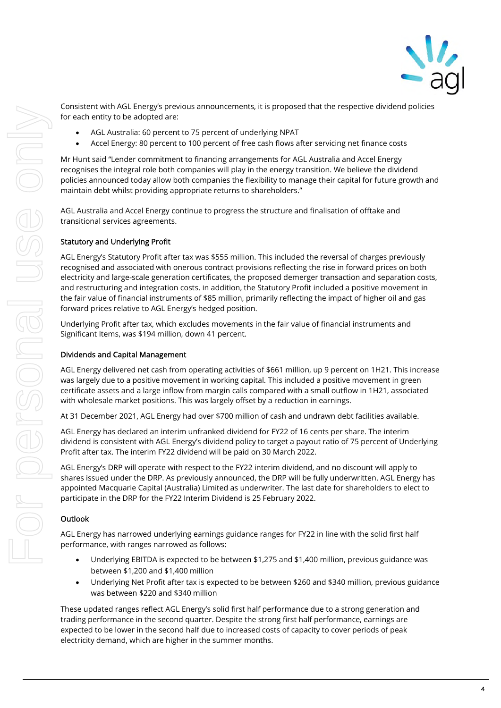

Consistent with AGL Energy's previous announcements, it is proposed that the respective dividend policies for each entity to be adopted are:

- AGL Australia: 60 percent to 75 percent of underlying NPAT
- Accel Energy: 80 percent to 100 percent of free cash flows after servicing net finance costs

Mr Hunt said "Lender commitment to financing arrangements for AGL Australia and Accel Energy recognises the integral role both companies will play in the energy transition. We believe the dividend policies announced today allow both companies the flexibility to manage their capital for future growth and maintain debt whilst providing appropriate returns to shareholders."

AGL Australia and Accel Energy continue to progress the structure and finalisation of offtake and transitional services agreements.

#### Statutory and Underlying Profit

[AGL Energy's S](https://www.agl.com.au/-/media/AGL/About-AGL/Documents/Media-Center/ASX-and-Media-Releases/2016/160810_ASXAGLREsults1580439.pdf?la=en&hash=181F75EAB6EDECA9D7D63C4DFD19134DE1FF669D)tatutory Profit after tax was \$555 million. This included the reversal of charges previously recognised and associated with onerous contract provisions reflecting the rise in forward prices on both electricity and large-scale generation certificates, the proposed demerger transaction and separation costs, and restructuring and integration costs. In addition, the Statutory Profit included a positive movement in the fair value of financial instruments of \$85 million, primarily reflecting the impact of higher oil and gas forward prices relative to AGL Energy's hedged position.

Underlying Profit after tax, which excludes movements in the fair value of financial instruments and Significant Items, was \$194 million, down 41 percent.

#### Dividends and Capital Management

AGL Energy delivered net cash from operating activities of \$661 million, up 9 percent on 1H21. This increase was largely due to a positive movement in working capital. This included a positive movement in green certificate assets and a large inflow from margin calls compared with a small outflow in 1H21, associated with wholesale market positions. This was largely offset by a reduction in earnings.

At 31 December 2021, AGL Energy had over \$700 million of cash and undrawn debt facilities available.

AGL Energy has declared an interim unfranked dividend for FY22 of 16 cents per share. The interim dividend is consistent with AGL Energy's dividend policy to target a payout ratio of 75 percent of Underlying Profit after tax. The interim FY22 dividend will be paid on 30 March 2022.

AGL Energy's DRP will operate with respect to the FY22 interim dividend, and no discount will apply to shares issued under the DRP. As previously announced, the DRP will be fully underwritten. AGL Energy has appointed Macquarie Capital (Australia) Limited as underwriter. The last date for shareholders to elect to participate in the DRP for the FY22 Interim Dividend is 25 February 2022.

#### **Outlook**

AGL Energy has narrowed underlying earnings guidance ranges for FY22 in line with the solid first half performance, with ranges narrowed as follows:

- Underlying EBITDA is expected to be between \$1,275 and \$1,400 million, previous guidance was between \$1,200 and \$1,400 million
- Underlying Net Profit after tax is expected to be between \$260 and \$340 million, previous guidance was between \$220 and \$340 million

These updated ranges reflect AGL Energy's solid first half performance due to a strong generation and trading performance in the second quarter. Despite the strong first half performance, earnings are expected to be lower in the second half due to increased costs of capacity to cover periods of peak electricity demand, which are higher in the summer months.